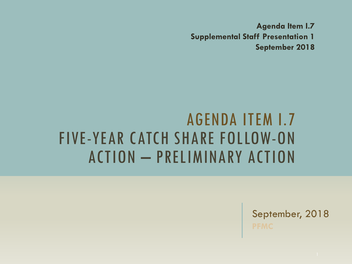**Agenda Item I.7 Supplemental Staff Presentation 1 September 2018**

### AGENDA ITEM I.7 FIVE-YEAR CATCH SHARE FOLLOW-ON ACTION – PRELIMINARY ACTION

September, 2018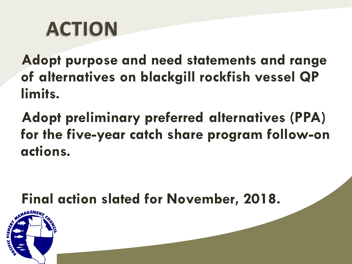# **ACTION**

**Adopt purpose and need statements and range of alternatives on blackgill rockfish vessel QP limits.**

**Adopt preliminary preferred alternatives (PPA) for the five-year catch share program follow-on actions.** 

### **Final action slated for November, 2018.**

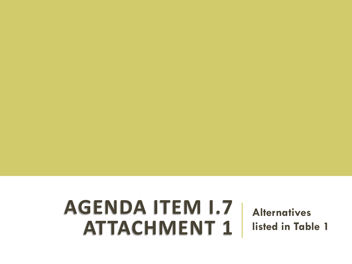## **AGENDA ITEM I.7 ATTACHMENT 1**

**Alternatives listed in Table 1**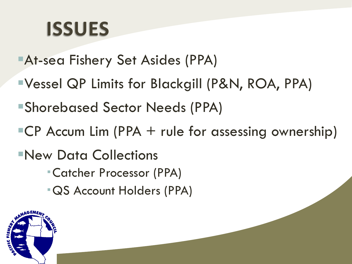# **ISSUES**

- At-sea Fishery Set Asides (PPA)
- Vessel QP Limits for Blackgill (P&N, ROA, PPA)
- Shorebased Sector Needs (PPA)
- $\textsf{ICP}$  Accum Lim (PPA + rule for assessing ownership)
- New Data Collections
	- Catcher Processor (PPA)
	- QS Account Holders (PPA)

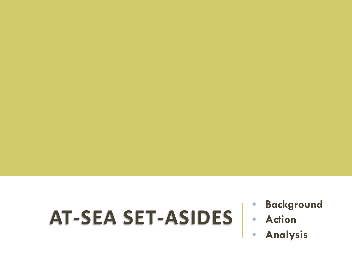# **AT-SEA SET-ASIDES** • **Action**

- **Background**
- 
- **Analysis**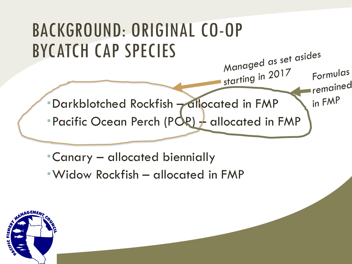

- Canary allocated biennially
- Widow Rockfish allocated in FMP

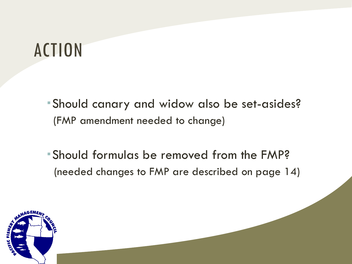## ACTION

Should canary and widow also be set-asides? (FMP amendment needed to change)

Should formulas be removed from the FMP? (needed changes to FMP are described on page 14)

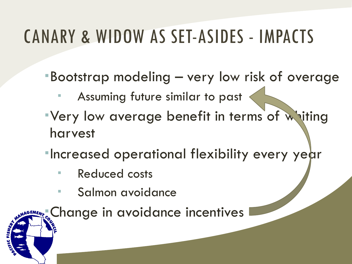## CANARY & WIDOW AS SET-ASIDES - IMPACTS

Bootstrap modeling – very low risk of overage

- Assuming future similar to past
- Very low average benefit in terms of whiting harvest
- **Increased operational flexibility every year** 
	- **Reduced costs**
	- **Salmon avoidance**

Change in avoidance incentives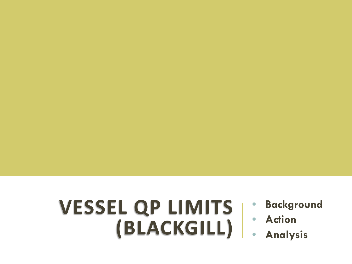## **VESSEL QP LIMITS (BLACKGILL)**

- **Background**
- **Action**
	- **Analysis**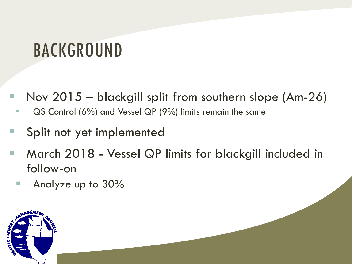## BACKGROUND

- Nov 2015 blackgill split from southern slope  $(Am-26)$ 
	- QS Control (6%) and Vessel QP (9%) limits remain the same
- **Split not yet implemented**
- March 2018 Vessel QP limits for blackgill included in follow-on
	- Analyze up to  $30\%$

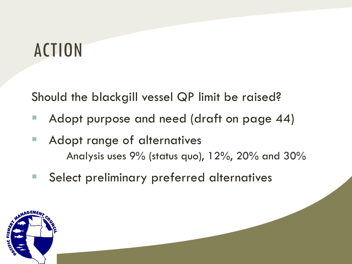## ACTION

Should the blackgill vessel QP limit be raised?

- Adopt purpose and need (draft on page 44)
- Adopt range of alternatives Analysis uses 9% (status quo), 12%, 20% and 30%
- Select preliminary preferred alternatives

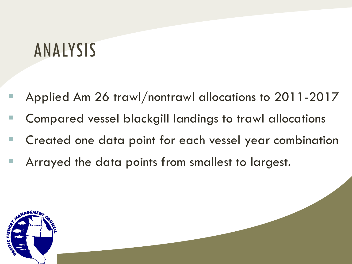## ANALYSIS

- Applied Am 26 trawl/nontrawl allocations to 2011-2017
- Compared vessel blackgill landings to trawl allocations
- Created one data point for each vessel year combination
- **Arrayed the data points from smallest to largest.**

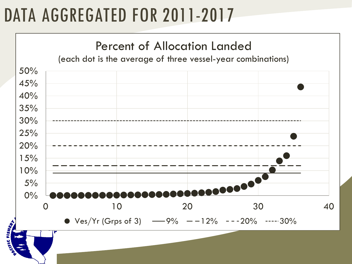## DATA AGGREGATED FOR 2011-2017

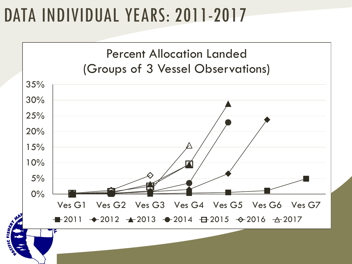## DATA INDIVIDUAL YEARS: 2011-2017

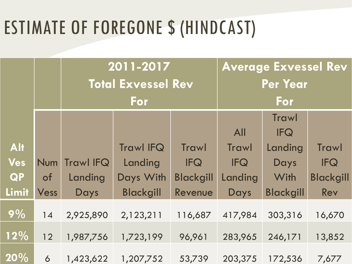## ESTIMATE OF FOREGONE \$ (HINDCAST)

|            |            | $\overline{2011}$ -2017   |                  |                  | <b>Average Exvessel Rev</b> |                  |                  |
|------------|------------|---------------------------|------------------|------------------|-----------------------------|------------------|------------------|
|            |            | <b>Total Exvessel Rev</b> |                  |                  | <b>Per Year</b>             |                  |                  |
|            |            | For                       |                  |                  | For                         |                  |                  |
|            |            |                           |                  |                  |                             | <b>Trawl</b>     |                  |
|            |            |                           |                  |                  | <b>All</b>                  | <b>IFQ</b>       |                  |
| <b>Alt</b> |            |                           | <b>Trawl IFQ</b> | <b>Trawl</b>     | <b>Trawl</b>                | Landing          | <b>Trawl</b>     |
| <b>Ves</b> | <b>Num</b> | <b>Trawl IFQ</b>          | Landing          | <b>IFQ</b>       | <b>IFQ</b>                  | Days             | <b>IFQ</b>       |
| <b>QP</b>  | $\circ$ f  | Landing                   | Days With        | <b>Blackgill</b> | Landing                     | With             | <b>Blackgill</b> |
| Limit      | Vess       | Days                      | <b>Blackgill</b> | Revenue          | Days                        | <b>Blackgill</b> | Rev              |
| 9%         | 14         | 2,925,890                 | 2,123,211        | 116,687          | 417,984                     | 303,316          | 16,670           |
| 12%        | 12         | 1,987,756                 | 1,723,199        | 96,961           | 283,965                     | 246,171          | 13,852           |
| 20%        | 6          | 1,423,622                 | 1,207,752        | 53,739           | 203,375                     | 172,536          | 7,677            |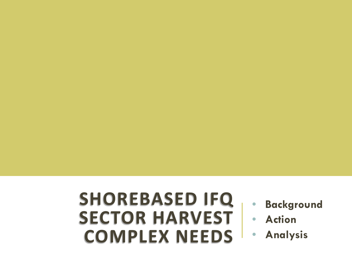### **SHOREBASED IFQ SECTOR HARVEST COMPLEX NEEDS**

- **Background**
- **Action**
- **Analysis**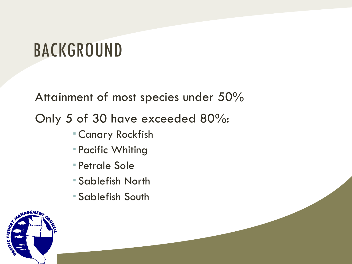## BACKGROUND

Attainment of most species under 50%

Only 5 of 30 have exceeded 80%:

- Canary Rockfish
- Pacific Whiting
- Petrale Sole
- Sablefish North
- Sablefish South

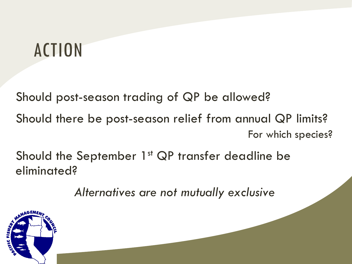## ACTION

Should post-season trading of QP be allowed? Should there be post-season relief from annual QP limits? For which species?

Should the September 1<sup>st</sup> QP transfer deadline be eliminated?

*Alternatives are not mutually exclusive*

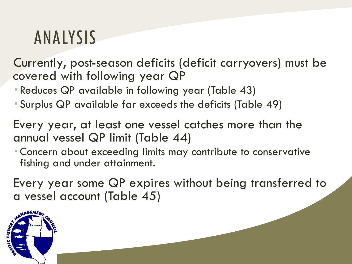## ANALYSIS

Currently, post-season deficits (deficit carryovers) must be covered with following year QP

- Reduces QP available in following year (Table 43)
- Surplus QP available far exceeds the deficits (Table 49)

Every year, at least one vessel catches more than the annual vessel QP limit (Table 44)

 Concern about exceeding limits may contribute to conservative fishing and under attainment.

Every year some QP expires without being transferred to a vessel account (Table 45)

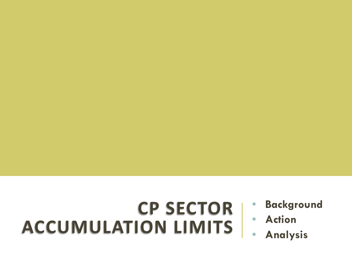## **CP SECTOR ACCUMULATION LIMITS**

- **Background**
- **Action**
- **Analysis**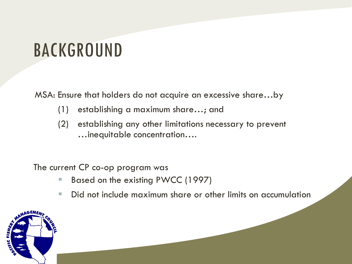## BACKGROUND

MSA: Ensure that holders do not acquire an excessive share…by

- (1) establishing a maximum share…; and
- (2) establishing any other limitations necessary to prevent …inequitable concentration….

The current CP co-op program was

- Based on the existing PWCC (1997)
- Did not include maximum share or other limits on accumulation

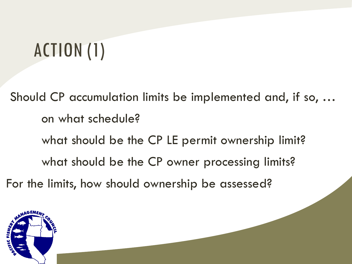# ACTION (1)

Should CP accumulation limits be implemented and, if so, … on what schedule? what should be the CP LE permit ownership limit? what should be the CP owner processing limits? For the limits, how should ownership be assessed?

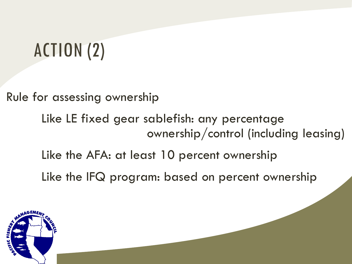# ACTION (2)

Rule for assessing ownership

Like LE fixed gear sablefish: any percentage ownership/control (including leasing)

Like the AFA: at least 10 percent ownership

Like the IFQ program: based on percent ownership

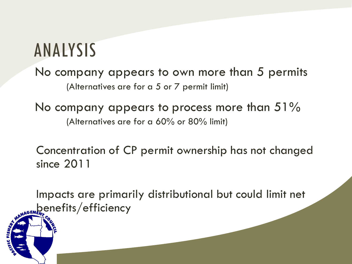## ANALYSIS

No company appears to own more than 5 permits (Alternatives are for a 5 or 7 permit limit)

No company appears to process more than  $51\%$ (Alternatives are for a 60% or 80% limit)

Concentration of CP permit ownership has not changed since 2011

Impacts are primarily distributional but could limit net wage benefits/efficiency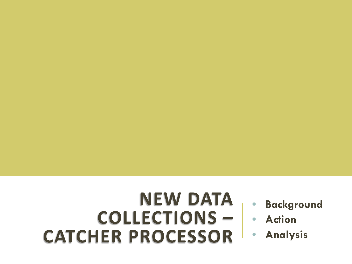# **NEW DATA COLLECTIONS – CATCHER PROCESSOR**

- **Background**
- **Action**
- **Analysis**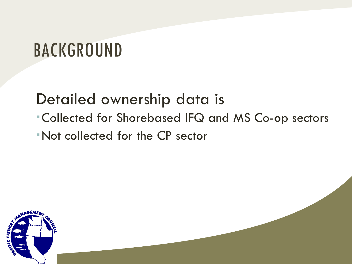## BACKGROUND

### Detailed ownership data is

- Collected for Shorebased IFQ and MS Co-op sectors
- Not collected for the CP sector

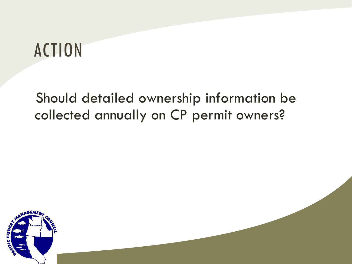## ACTION

### Should detailed ownership information be collected annually on CP permit owners?

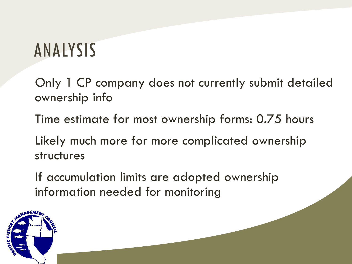## ANALYSIS

Only 1 CP company does not currently submit detailed ownership info

Time estimate for most ownership forms: 0.75 hours

Likely much more for more complicated ownership structures

If accumulation limits are adopted ownership information needed for monitoring

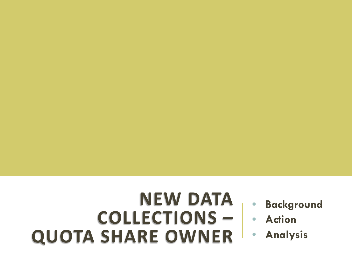# **NEW DATA COLLECTIONS – QUOTA SHARE OWNER**

- **Background**
- **Action**
- **Analysis**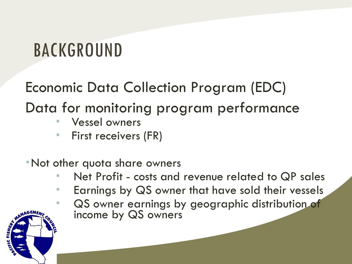## BACKGROUND

### Economic Data Collection Program (EDC) Data for monitoring program performance

- Vessel owners
- **First receivers (FR)**

#### Not other quota share owners

- Net Profit costs and revenue related to QP sales
- **Earnings by QS owner that have sold their vessels**
- QS owner earnings by geographic distribution of income by QS owners

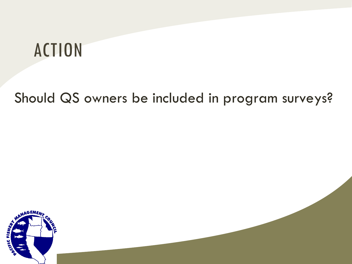## ACTION

### Should QS owners be included in program surveys?

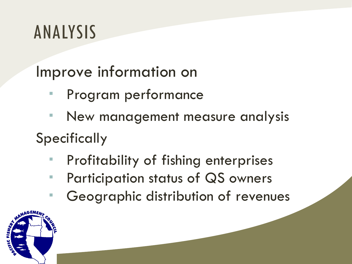## ANALYSIS

Improve information on

- Program performance
- New management measure analysis **Specifically** 
	- Profitability of fishing enterprises
	- **Participation status of QS owners**
	- Geographic distribution of revenues

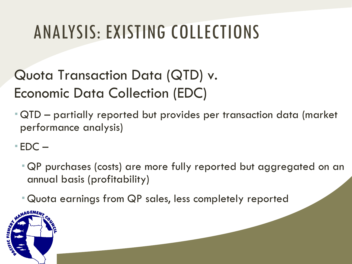# ANALYSIS: EXISTING COLLECTIONS

### Quota Transaction Data (QTD) v. Economic Data Collection (EDC)

 QTD – partially reported but provides per transaction data (market performance analysis)

 $EDC -$ 

- QP purchases (costs) are more fully reported but aggregated on an annual basis (profitability)
- Quota earnings from QP sales, less completely reported

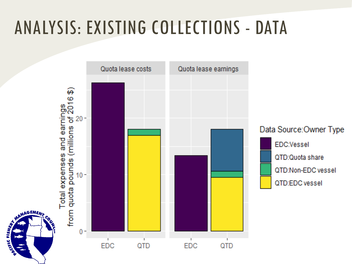## ANALYSIS: EXISTING COLLECTIONS - DATA

CIFIC FISHER

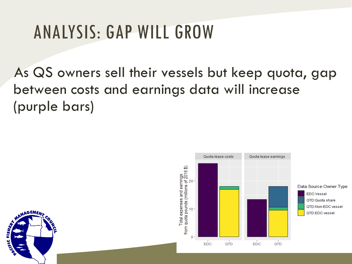## ANALYSIS: GAP WILL GROW

As QS owners sell their vessels but keep quota, gap between costs and earnings data will increase (purple bars)



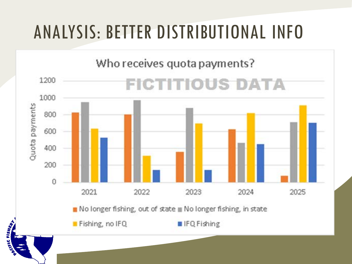## ANALYSIS: BETTER DISTRIBUTIONAL INFO

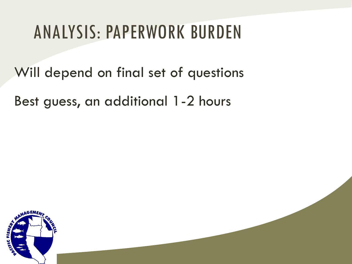## ANALYSIS: PAPERWORK BURDEN

Will depend on final set of questions

Best guess, an additional 1-2 hours